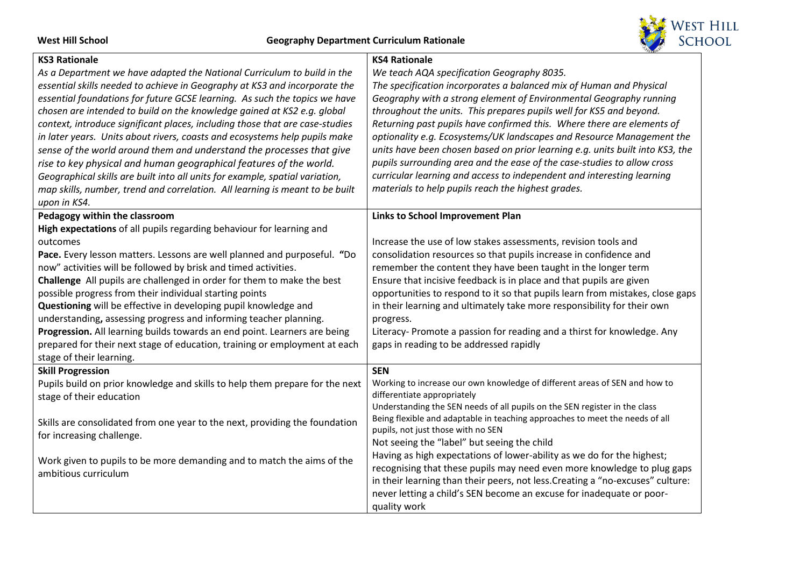

| <b>KS3 Rationale</b>                                                                                     | <b>KS4 Rationale</b>                                                                                      |
|----------------------------------------------------------------------------------------------------------|-----------------------------------------------------------------------------------------------------------|
| As a Department we have adapted the National Curriculum to build in the                                  | We teach AQA specification Geography 8035.                                                                |
| essential skills needed to achieve in Geography at KS3 and incorporate the                               | The specification incorporates a balanced mix of Human and Physical                                       |
| essential foundations for future GCSE learning. As such the topics we have                               | Geography with a strong element of Environmental Geography running                                        |
| chosen are intended to build on the knowledge gained at KS2 e.g. global                                  | throughout the units. This prepares pupils well for KS5 and beyond.                                       |
| context, introduce significant places, including those that are case-studies                             | Returning past pupils have confirmed this. Where there are elements of                                    |
| in later years. Units about rivers, coasts and ecosystems help pupils make                               | optionality e.g. Ecosystems/UK landscapes and Resource Management the                                     |
| sense of the world around them and understand the processes that give                                    | units have been chosen based on prior learning e.g. units built into KS3, the                             |
| rise to key physical and human geographical features of the world.                                       | pupils surrounding area and the ease of the case-studies to allow cross                                   |
| Geographical skills are built into all units for example, spatial variation,                             | curricular learning and access to independent and interesting learning                                    |
| map skills, number, trend and correlation. All learning is meant to be built                             | materials to help pupils reach the highest grades.                                                        |
| upon in KS4.                                                                                             |                                                                                                           |
| Pedagogy within the classroom                                                                            | Links to School Improvement Plan                                                                          |
| High expectations of all pupils regarding behaviour for learning and                                     |                                                                                                           |
| outcomes                                                                                                 | Increase the use of low stakes assessments, revision tools and                                            |
| Pace. Every lesson matters. Lessons are well planned and purposeful. "Do                                 | consolidation resources so that pupils increase in confidence and                                         |
| now" activities will be followed by brisk and timed activities.                                          | remember the content they have been taught in the longer term                                             |
| Challenge All pupils are challenged in order for them to make the best                                   | Ensure that incisive feedback is in place and that pupils are given                                       |
| possible progress from their individual starting points                                                  | opportunities to respond to it so that pupils learn from mistakes, close gaps                             |
| Questioning will be effective in developing pupil knowledge and                                          | in their learning and ultimately take more responsibility for their own                                   |
| understanding, assessing progress and informing teacher planning.                                        | progress.                                                                                                 |
| Progression. All learning builds towards an end point. Learners are being                                | Literacy- Promote a passion for reading and a thirst for knowledge. Any                                   |
| prepared for their next stage of education, training or employment at each                               | gaps in reading to be addressed rapidly                                                                   |
| stage of their learning.                                                                                 |                                                                                                           |
| <b>Skill Progression</b>                                                                                 | <b>SEN</b>                                                                                                |
| Pupils build on prior knowledge and skills to help them prepare for the next<br>stage of their education | Working to increase our own knowledge of different areas of SEN and how to<br>differentiate appropriately |
|                                                                                                          | Understanding the SEN needs of all pupils on the SEN register in the class                                |
| Skills are consolidated from one year to the next, providing the foundation                              | Being flexible and adaptable in teaching approaches to meet the needs of all                              |
| for increasing challenge.                                                                                | pupils, not just those with no SEN                                                                        |
|                                                                                                          | Not seeing the "label" but seeing the child                                                               |
| Work given to pupils to be more demanding and to match the aims of the                                   | Having as high expectations of lower-ability as we do for the highest;                                    |
| ambitious curriculum                                                                                     | recognising that these pupils may need even more knowledge to plug gaps                                   |
|                                                                                                          | in their learning than their peers, not less. Creating a "no-excuses" culture:                            |
|                                                                                                          | never letting a child's SEN become an excuse for inadequate or poor-                                      |
|                                                                                                          | quality work                                                                                              |